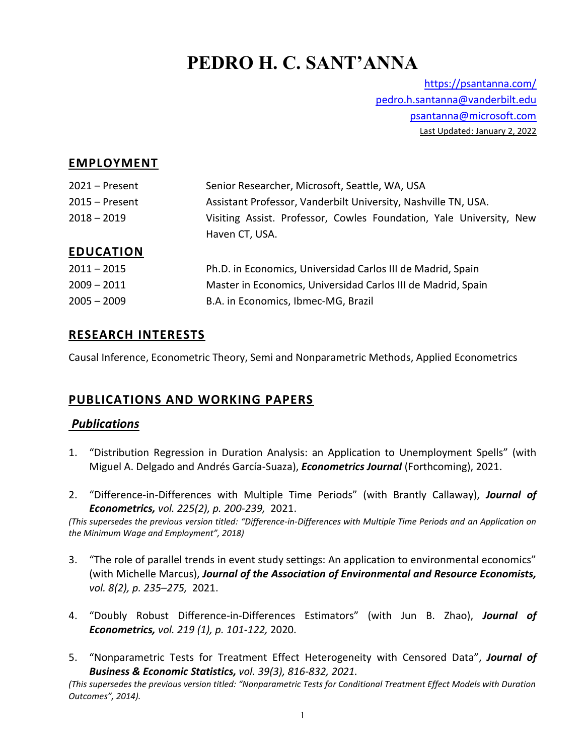# **PEDRO H. C. SANT'ANNA**

<https://psantanna.com/> [pedro.h.santanna@vanderbilt.edu](mailto:pedro.h.santanna@vanderbilt.edu) [psantanna@microsoft.com](mailto:psantanna@microsoft.com) Last Updated: January 2, 2022

#### **EMPLOYMENT**

| 2021 – Present   | Senior Researcher, Microsoft, Seattle, WA, USA                      |
|------------------|---------------------------------------------------------------------|
| $2015 -$ Present | Assistant Professor, Vanderbilt University, Nashville TN, USA.      |
| 2018 – 2019      | Visiting Assist. Professor, Cowles Foundation, Yale University, New |
|                  | Haven CT, USA.                                                      |
| <b>EDUCATION</b> |                                                                     |
| $2011 - 2015$    | Ph.D. in Economics, Universidad Carlos III de Madrid, Spain         |
| $2009 - 2011$    | Master in Economics, Universidad Carlos III de Madrid, Spain        |
| $2005 - 2009$    | B.A. in Economics, Ibmec-MG, Brazil                                 |

#### **RESEARCH INTERESTS**

Causal Inference, Econometric Theory, Semi and Nonparametric Methods, Applied Econometrics

# **PUBLICATIONS AND WORKING PAPERS**

#### *Publications*

- 1. "Distribution Regression in Duration Analysis: an Application to Unemployment Spells" (with Miguel A. Delgado and Andrés García-Suaza), *Econometrics Journal* (Forthcoming), 2021.
- 2. "Difference-in-Differences with Multiple Time Periods" (with Brantly Callaway), *Journal of Econometrics, vol. 225(2), p. 200-239,* 2021.

*(This supersedes the previous version titled: "Difference-in-Differences with Multiple Time Periods and an Application on the Minimum Wage and Employment", 2018)*

- 3. "The role of parallel trends in event study settings: An application to environmental economics" (with Michelle Marcus), *Journal of the Association of Environmental and Resource Economists, vol. 8(2), p. 235–275,* 2021.
- 4. "Doubly Robust Difference-in-Differences Estimators" (with Jun B. Zhao), *Journal of Econometrics, vol. 219 (1), p. 101-122,* 2020.
- 5. "Nonparametric Tests for Treatment Effect Heterogeneity with Censored Data", *Journal of Business & Economic Statistics, vol. 39(3), 816-832, 2021.*

*(This supersedes the previous version titled: "Nonparametric Tests for Conditional Treatment Effect Models with Duration Outcomes", 2014).*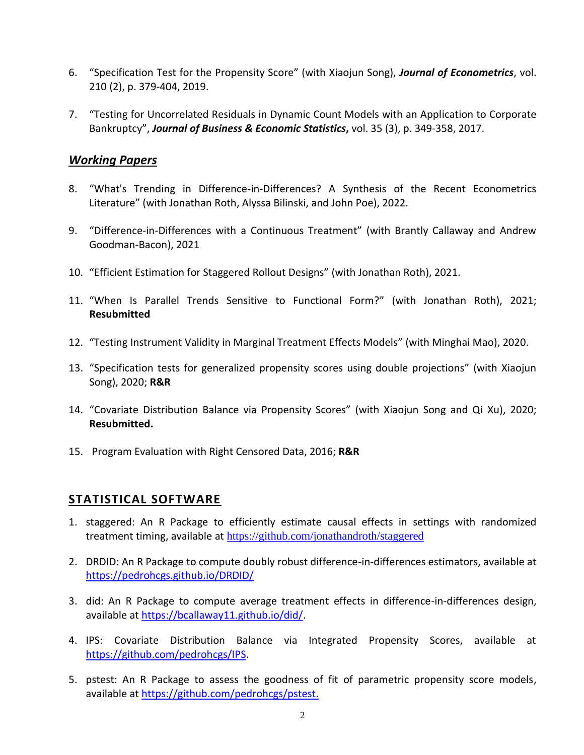- 6. "Specification Test for the Propensity Score" (with Xiaojun Song), *Journal of Econometrics*, vol. 210 (2), p. 379-404, 2019.
- 7. "Testing for Uncorrelated Residuals in Dynamic Count Models with an Application to Corporate Bankruptcy", *Journal of Business & Economic Statistics***,** vol. 35 (3), p. 349-358, 2017.

#### *Working Papers*

- 8. "What's Trending in Difference-in-Differences? A Synthesis of the Recent Econometrics Literature" (with Jonathan Roth, Alyssa Bilinski, and John Poe), 2022.
- 9. "Difference-in-Differences with a Continuous Treatment" (with Brantly Callaway and Andrew Goodman-Bacon), 2021
- 10. "Efficient Estimation for Staggered Rollout Designs" (with Jonathan Roth), 2021.
- 11. "When Is Parallel Trends Sensitive to Functional Form?" (with Jonathan Roth), 2021; **Resubmitted**
- 12. "Testing Instrument Validity in Marginal Treatment Effects Models" (with Minghai Mao), 2020.
- 13. "Specification tests for generalized propensity scores using double projections" (with Xiaojun Song), 2020; **R&R**
- 14. "Covariate Distribution Balance via Propensity Scores" (with Xiaojun Song and Qi Xu), 2020; **Resubmitted.**
- 15. Program Evaluation with Right Censored Data, 2016; **R&R**

# **STATISTICAL SOFTWARE**

- 1. staggered: An R Package to efficiently estimate causal effects in settings with randomized treatment timing, available at <https://github.com/jonathandroth/staggered>
- 2. DRDID: An R Package to compute doubly robust difference-in-differences estimators, available at <https://pedrohcgs.github.io/DRDID/>
- 3. did: An R Package to compute average treatment effects in difference-in-differences design, available at [https://bcallaway11.github.io/did/.](https://bcallaway11.github.io/did/)
- 4. IPS: Covariate Distribution Balance via Integrated Propensity Scores, available at [https://github.com/pedrohcgs/IPS.](https://github.com/pedrohcgs/IPS)
- 5. pstest: An R Package to assess the goodness of fit of parametric propensity score models, available at [https://github.com/pedrohcgs/pstest.](https://github.com/pedrohcgs/pstest)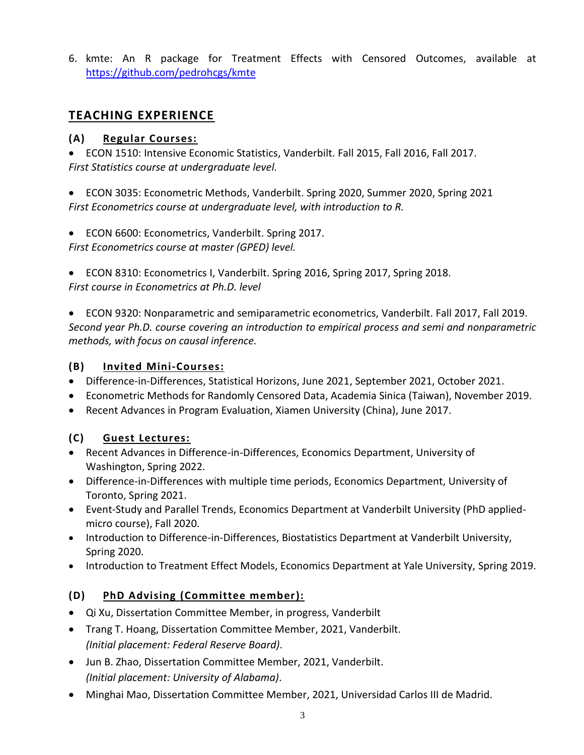6. kmte: An R package for Treatment Effects with Censored Outcomes, available at <https://github.com/pedrohcgs/kmte>

# **TEACHING EXPERIENCE**

#### **(A) Regular Courses:**

• ECON 1510: Intensive Economic Statistics, Vanderbilt. Fall 2015, Fall 2016, Fall 2017. *First Statistics course at undergraduate level.*

• ECON 3035: Econometric Methods, Vanderbilt. Spring 2020, Summer 2020, Spring 2021 *First Econometrics course at undergraduate level, with introduction to R.*

• ECON 6600: Econometrics, Vanderbilt. Spring 2017. *First Econometrics course at master (GPED) level.*

• ECON 8310: Econometrics I, Vanderbilt. Spring 2016, Spring 2017, Spring 2018. *First course in Econometrics at Ph.D. level*

• ECON 9320: Nonparametric and semiparametric econometrics, Vanderbilt. Fall 2017, Fall 2019. *Second year Ph.D. course covering an introduction to empirical process and semi and nonparametric methods, with focus on causal inference.*

#### **(B) Invited Mini-Courses:**

- Difference-in-Differences, Statistical Horizons, June 2021, September 2021, October 2021.
- Econometric Methods for Randomly Censored Data, Academia Sinica (Taiwan), November 2019.
- Recent Advances in Program Evaluation, Xiamen University (China), June 2017.

#### **(C) Guest Lectures:**

- Recent Advances in Difference-in-Differences, Economics Department, University of Washington, Spring 2022.
- Difference-in-Differences with multiple time periods, Economics Department, University of Toronto, Spring 2021.
- Event-Study and Parallel Trends, Economics Department at Vanderbilt University (PhD appliedmicro course), Fall 2020.
- Introduction to Difference-in-Differences, Biostatistics Department at Vanderbilt University, Spring 2020.
- Introduction to Treatment Effect Models, Economics Department at Yale University, Spring 2019.

#### **(D) PhD Advising (Committee member):**

- Qi Xu, Dissertation Committee Member, in progress, Vanderbilt
- Trang T. Hoang, Dissertation Committee Member, 2021, Vanderbilt. *(Initial placement: Federal Reserve Board)*.
- Jun B. Zhao, Dissertation Committee Member, 2021, Vanderbilt. *(Initial placement: University of Alabama)*.
- Minghai Mao, Dissertation Committee Member, 2021, Universidad Carlos III de Madrid.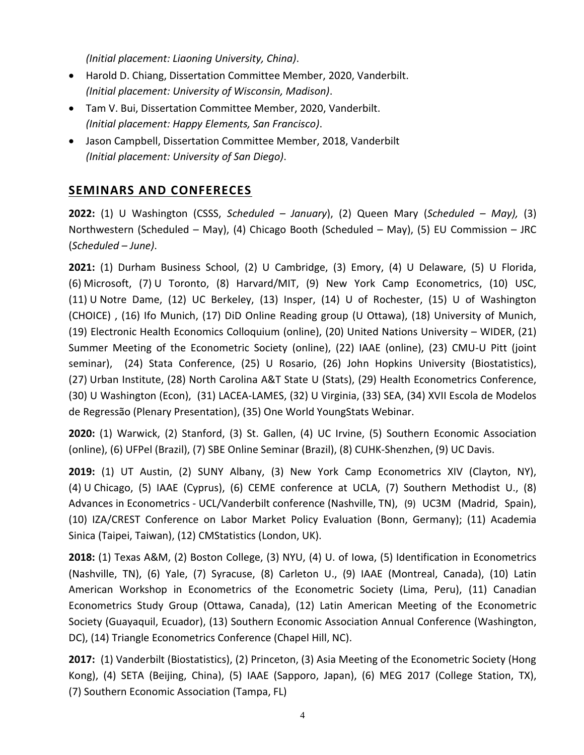*(Initial placement: Liaoning University, China)*.

- Harold D. Chiang, Dissertation Committee Member, 2020, Vanderbilt. *(Initial placement: University of Wisconsin, Madison)*.
- Tam V. Bui, Dissertation Committee Member, 2020, Vanderbilt. *(Initial placement: Happy Elements, San Francisco)*.
- Jason Campbell, Dissertation Committee Member, 2018, Vanderbilt *(Initial placement: University of San Diego)*.

# **SEMINARS AND CONFERECES**

**2022:** (1) U Washington (CSSS, *Scheduled – January*), (2) Queen Mary (*Scheduled – May),* (3) Northwestern (Scheduled – May), (4) Chicago Booth (Scheduled – May), (5) EU Commission – JRC (*Scheduled – June)*.

**2021:** (1) Durham Business School, (2) U Cambridge, (3) Emory, (4) U Delaware, (5) U Florida, (6) Microsoft, (7) U Toronto, (8) Harvard/MIT, (9) New York Camp Econometrics, (10) USC, (11) U Notre Dame, (12) UC Berkeley, (13) Insper, (14) U of Rochester, (15) U of Washington (CHOICE) , (16) Ifo Munich, (17) DiD Online Reading group (U Ottawa), (18) University of Munich, (19) Electronic Health Economics Colloquium (online), (20) United Nations University – WIDER, (21) Summer Meeting of the Econometric Society (online), (22) IAAE (online), (23) CMU-U Pitt (joint seminar), (24) Stata Conference, (25) U Rosario, (26) John Hopkins University (Biostatistics), (27) Urban Institute, (28) North Carolina A&T State U (Stats), (29) Health Econometrics Conference, (30) U Washington (Econ), (31) LACEA-LAMES, (32) U Virginia, (33) SEA, (34) XVII Escola de Modelos de Regressão (Plenary Presentation), (35) One World YoungStats Webinar.

**2020:** (1) Warwick, (2) Stanford, (3) St. Gallen, (4) UC Irvine, (5) Southern Economic Association (online), (6) UFPel (Brazil), (7) SBE Online Seminar (Brazil), (8) CUHK-Shenzhen, (9) UC Davis.

**2019:** (1) UT Austin, (2) SUNY Albany, (3) New York Camp Econometrics XIV (Clayton, NY), (4) U Chicago, (5) IAAE (Cyprus), (6) CEME conference at UCLA, (7) Southern Methodist U., (8) Advances in Econometrics - UCL/Vanderbilt conference (Nashville, TN), (9) UC3M (Madrid, Spain), (10) IZA/CREST Conference on Labor Market Policy Evaluation (Bonn, Germany); (11) Academia Sinica (Taipei, Taiwan), (12) CMStatistics (London, UK).

**2018:** (1) Texas A&M, (2) Boston College, (3) NYU, (4) U. of Iowa, (5) Identification in Econometrics (Nashville, TN), (6) Yale, (7) Syracuse, (8) Carleton U., (9) IAAE (Montreal, Canada), (10) Latin American Workshop in Econometrics of the Econometric Society (Lima, Peru), (11) Canadian Econometrics Study Group (Ottawa, Canada), (12) Latin American Meeting of the Econometric Society (Guayaquil, Ecuador), (13) Southern Economic Association Annual Conference (Washington, DC), (14) Triangle Econometrics Conference (Chapel Hill, NC).

2017: (1) Vanderbilt (Biostatistics), (2) Princeton, (3) Asia Meeting of the Econometric Society (Hong Kong), (4) SETA (Beijing, China), (5) IAAE (Sapporo, Japan), (6) MEG 2017 (College Station, TX), (7) Southern Economic Association (Tampa, FL)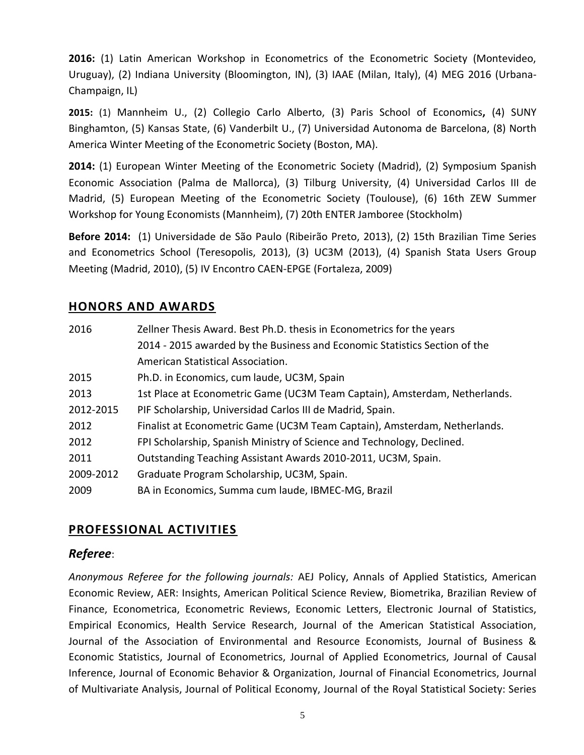**2016:** (1) Latin American Workshop in Econometrics of the Econometric Society (Montevideo, Uruguay), (2) Indiana University (Bloomington, IN), (3) IAAE (Milan, Italy), (4) MEG 2016 (Urbana-Champaign, IL)

**2015:** (1) Mannheim U., (2) Collegio Carlo Alberto, (3) Paris School of Economics**,** (4) SUNY Binghamton, (5) Kansas State, (6) Vanderbilt U., (7) Universidad Autonoma de Barcelona, (8) North America Winter Meeting of the Econometric Society (Boston, MA).

**2014:** (1) European Winter Meeting of the Econometric Society (Madrid), (2) Symposium Spanish Economic Association (Palma de Mallorca), (3) Tilburg University, (4) Universidad Carlos III de Madrid, (5) European Meeting of the Econometric Society (Toulouse), (6) 16th ZEW Summer Workshop for Young Economists (Mannheim), (7) 20th ENTER Jamboree (Stockholm)

**Before 2014:** (1) Universidade de São Paulo (Ribeirão Preto, 2013), (2) 15th Brazilian Time Series and Econometrics School (Teresopolis, 2013), (3) UC3M (2013), (4) Spanish Stata Users Group Meeting (Madrid, 2010), (5) IV Encontro CAEN-EPGE (Fortaleza, 2009)

#### **HONORS AND AWARDS**

| 2016      | Zellner Thesis Award. Best Ph.D. thesis in Econometrics for the years      |
|-----------|----------------------------------------------------------------------------|
|           | 2014 - 2015 awarded by the Business and Economic Statistics Section of the |
|           | American Statistical Association.                                          |
| 2015      | Ph.D. in Economics, cum laude, UC3M, Spain                                 |
| 2013      | 1st Place at Econometric Game (UC3M Team Captain), Amsterdam, Netherlands. |
| 2012-2015 | PIF Scholarship, Universidad Carlos III de Madrid, Spain.                  |
| 2012      | Finalist at Econometric Game (UC3M Team Captain), Amsterdam, Netherlands.  |
| 2012      | FPI Scholarship, Spanish Ministry of Science and Technology, Declined.     |
| 2011      | Outstanding Teaching Assistant Awards 2010-2011, UC3M, Spain.              |
| 2009-2012 | Graduate Program Scholarship, UC3M, Spain.                                 |
| 2009      | BA in Economics, Summa cum laude, IBMEC-MG, Brazil                         |

# **PROFESSIONAL ACTIVITIES**

#### *Referee*:

*Anonymous Referee for the following journals:* AEJ Policy, Annals of Applied Statistics, American Economic Review, AER: Insights, American Political Science Review, Biometrika, Brazilian Review of Finance, Econometrica, Econometric Reviews, Economic Letters, Electronic Journal of Statistics, Empirical Economics, Health Service Research, Journal of the American Statistical Association, Journal of the Association of Environmental and Resource Economists, Journal of Business & Economic Statistics, Journal of Econometrics, Journal of Applied Econometrics, Journal of Causal Inference, Journal of Economic Behavior & Organization, Journal of Financial Econometrics, Journal of Multivariate Analysis, Journal of Political Economy, Journal of the Royal Statistical Society: Series